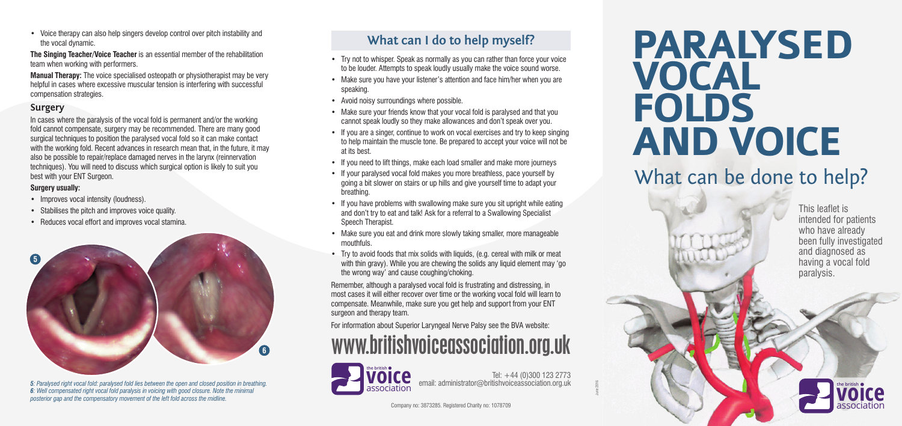



Tel: +44 (0)300 123 2773 email: administrator@britishvoiceassociation.org.uk

• Voice therapy can also help singers develop control over pitch instability and the vocal dynamic.

**The Singing Teacher/Voice Teacher** is an essential member of the rehabilitation team when working with performers.

## www.britishvoiceassociation.org.uk

**Manual Therapy:** The voice specialised osteopath or physiotherapist may be very helpful in cases where excessive muscular tension is interfering with successful compensation strategies.

#### **Surgery**

- Improves vocal intensity (loudness).
- Stabilises the pitch and improves voice quality.
- • Reduces vocal effort and improves vocal stamina.

In cases where the paralysis of the vocal fold is permanent and/or the working fold cannot compensate, surgery may be recommended. There are many good surgical techniques to position the paralysed vocal fold so it can make contact with the working fold. Recent advances in research mean that, in the future, it may also be possible to repair/replace damaged nerves in the larynx (reinnervation techniques). You will need to discuss which surgical option is likely to suit you best with your ENT Surgeon.

#### **Surgery usually:**

*5: Paralysed right vocal fold: paralysed fold lies between the open and closed position in breathing. 6: Well compensated right vocal fold paralysis in voicing with good closure. Note the minimal posterior gap and the compensatory movement of the left fold across the midline.*

- Try not to whisper. Speak as normally as you can rather than force your voice to be louder. Attempts to speak loudly usually make the voice sound worse.
- Make sure you have your listener's attention and face him/her when you are speaking.
- Avoid noisy surroundings where possible.
- Make sure your friends know that your vocal fold is paralysed and that you cannot speak loudly so they make allowances and don't speak over you.
- If you are a singer, continue to work on vocal exercises and try to keep singing to help maintain the muscle tone. Be prepared to accept your voice will not be at its best.
- If you need to lift things, make each load smaller and make more journeys
- If your paralysed vocal fold makes you more breathless, pace yourself by going a bit slower on stairs or up hills and give yourself time to adapt your breathing.
- If you have problems with swallowing make sure you sit upright while eating and don't try to eat and talk! Ask for a referral to a Swallowing Specialist Speech Therapist.
- Make sure you eat and drink more slowly taking smaller, more manageable mouthfuls.
- Try to avoid foods that mix solids with liquids, (e.g. cereal with milk or meat with thin gravy). While you are chewing the solids any liquid element may 'go the wrong way' and cause coughing/choking.



## **What can I do to help myself?**

# **PARALYSED VOCAL FOLDS AND VOICE** What can be done to help?

Remember, although a paralysed vocal fold is frustrating and distressing, in most cases it will either recover over time or the working vocal fold will learn to compensate. Meanwhile, make sure you get help and support from your ENT surgeon and therapy team.

For information about Superior Laryngeal Nerve Palsy see the BVA website:

This leaflet is intended for patients who have already been fully investigated and diagnosed as having a vocal fold paralysis.

June 2016